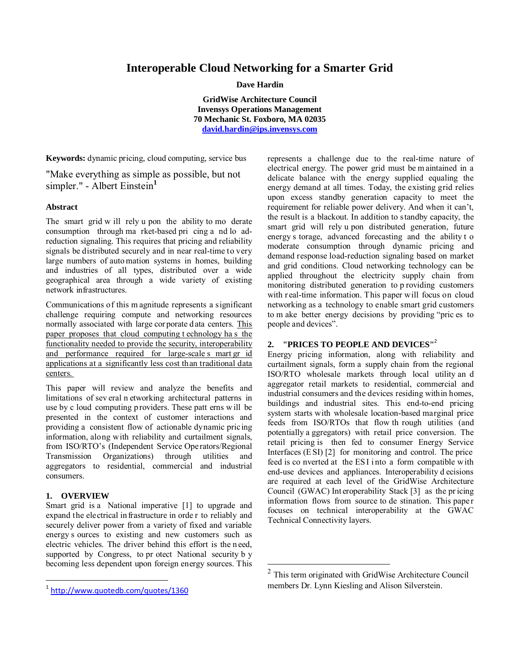# **Interoperable Cloud Networking for a Smarter Grid**

**Dave Hardin** 

**GridWise Architecture Council Invensys Operations Management 70 Mechanic St. Foxboro, MA 02035 david.hardin@ips.invensys.com**

 $\overline{a}$ 

**Keywords:** dynamic pricing, cloud computing, service bus

"Make everything as simple as possible, but not simpler." - Albert Einstein<sup>1</sup>

# **Abstract**

The smart grid w ill rely u pon the ability to mo derate consumption through ma rket-based pri cing a nd lo adreduction signaling. This requires that pricing and reliability signals be distributed securely and in near real-time to very large numbers of auto mation systems in homes, building and industries of all types, distributed over a wide geographical area through a wide variety of existing network infrastructures.

Communications of this m agnitude represents a significant challenge requiring compute and networking resources normally associated with large cor porate data centers. This paper proposes that cloud computing t echnology ha s the functionality needed to provide the security, interoperability and performance required for large-scale s mart gr id applications at a significantly less cost than traditional data centers.

This paper will review and analyze the benefits and limitations of sev eral n etworking architectural patterns in use by c loud computing p roviders. These patt erns w ill be presented in the context of customer interactions and providing a consistent flow of actionable dynamic pricing information, along with reliability and curtailment signals, from ISO/RTO's (Independent Service Operators/Regional Transmission Organizations) through utilities and aggregators to residential, commercial and industrial consumers.

### **1. OVERVIEW**

 $\overline{a}$ 

Smart grid is a National imperative [1] to upgrade and expand the electrical in frastructure in orde r to reliably and securely deliver power from a variety of fixed and variable energy s ources to existing and new customers such as electric vehicles. The driver behind this effort is the n eed, supported by Congress, to pr otect National security b y becoming less dependent upon foreign energy sources. This represents a challenge due to the real-time nature of electrical energy. The power grid must be m aintained in a delicate balance with the energy supplied equaling the energy demand at all times. Today, the existing grid relies upon excess standby generation capacity to meet the requirement for reliable power delivery. And when it can't, the result is a blackout. In addition to standby capacity, the smart grid will rely u pon distributed generation, future energy s torage, advanced forecasting and the ability t o moderate consumption through dynamic pricing and demand response load-reduction signaling based on market and grid conditions. Cloud networking technology can be applied throughout the electricity supply chain from monitoring distributed generation to p roviding customers with r eal-time information. This paper will focus on cloud networking as a technology to enable smart grid customers to m ake better energy decisions by providing "pric es to people and devices".

# **2. "PRICES TO PEOPLE AND DEVICES"**<sup>2</sup>

Energy pricing information, along with reliability and curtailment signals, form a supply chain from the regional ISO/RTO wholesale markets through local utility an d aggregator retail markets to residential, commercial and industrial consumers and the devices residing within homes, buildings and industrial sites. This end-to-end pricing system starts with wholesale location-based marginal price feeds from ISO/RTOs that flow th rough utilities (and potentially a ggregators) with retail price conversion. The retail pricing is then fed to consumer Energy Service Interfaces (E SI) [2] for monitoring and control. The price feed is co nverted at the ES I i nto a form compatible with end-use devices and appliances. Interoperability d ecisions are required at each level of the GridWise Architecture Council (GWAC) Int eroperability Stack [3] as the pr icing information flows from source to de stination. This pape r focuses on technical interoperability at the GWAC Technical Connectivity layers.

<sup>1</sup> http://www.quotedb.com/quotes/1360

<sup>&</sup>lt;sup>2</sup> This term originated with GridWise Architecture Council members Dr. Lynn Kiesling and Alison Silverstein.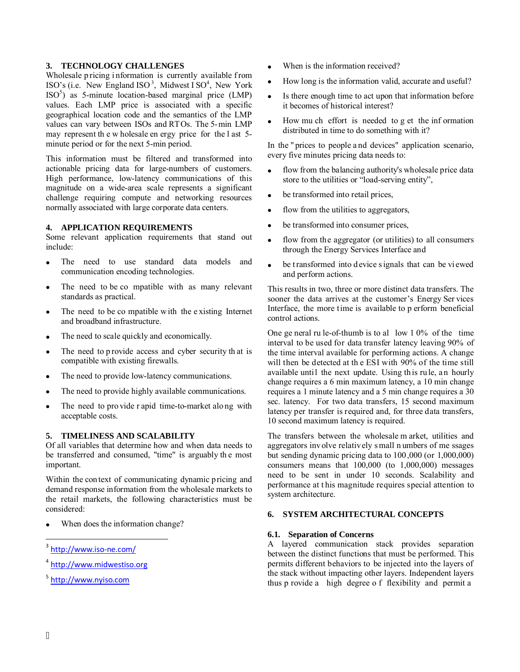**3.** TECHNOLOGY CHALLENGES<br>
Wholeslee pricing information is current Wholeslee pricing information is current<br>
SISO's (i.e. New England ISO', Midweston and the sem<br>
SISO's as 5-minute location-based mary for the sem vertic Wholesale pricing information is currently available from ISO's (i.e. New England ISO<sup>3</sup>, Midwest ISO<sup>4</sup>, New York ISO<sup>5</sup>) as 5-minute location-based marginal price (LMP) values. Each LMP price is associated with a specific geographical location code and the semantics of the LMP values can vary between ISOs and RTOs. The 5-min LMP may represent th e w holesale en ergy price for the l ast 5 minute period or for the next 5-min period.

This information must be filtered and transformed into actionable pricing data for large-numbers of customers. High performance, low-latency communications of this magnitude on a wide-area scale represents a significant challenge requiring compute and networking resources normally associated with large corporate data centers.

#### **4. APPLICATION REQUIREMENTS**

Some relevant application requirements that stand out include:

- The need to use standard data models and communication encoding technologies.
- The need to be co mpatible with as many relevant standards as practical.
- The need to be co mpatible with the existing Internet and broadband infrastructure.
- The need to scale quickly and economically.
- The need to p rovide access and cyber security that is compatible with existing firewalls.
- The need to provide low-latency communications.
- The need to provide highly available communications.
- The need to pro vide r apid time-to-market along with acceptable costs.

# **5. TIMELINESS AND SCALABILITY**

Of all variables that determine how and when data needs to be transferred and consumed, "time" is arguably th e most important.

Within the con text of communicating dynamic pricing and demand response information from the wholesale markets to the retail markets, the following characteristics must be considered:

When does the information change?

- 4 http://www.midwestiso.org
- 5 http://www.nyiso.com
- When is the information received?
- How long is the information valid, accurate and useful?
- Is there enough time to act upon that information before it becomes of historical interest?
- How mu ch effort is needed to g et the inf ormation distributed in time to do something with it?

In the " prices to people a nd devices" application scenario, every five minutes pricing data needs to:

- flow from the balancing authority's wholesale price data store to the utilities or "load-serving entity",
- be transformed into retail prices,
- flow from the utilities to aggregators,
- be transformed into consumer prices,
- flow from the aggregator (or utilities) to all consumers through the Energy Services Interface and
- be t ransformed into d evice signals that can be viewed and perform actions.

This results in two, three or more distinct data transfers. The sooner the data arrives at the customer's Energy Ser vices Interface, the more time is available to p erform beneficial control actions.

One ge neral ru le-of-thumb is to al low 1 0% of the time interval to be used for data transfer latency leaving 90% of the time interval available for performing actions. A change will then be detected at th e ESI with 90% of the time still available until the next update. Using th is rule, a n hourly change requires a 6 min maximum latency, a 10 min change requires a 1 minute latency and a 5 min change requires a 30 sec. latency. For two data transfers, 15 second maximum latency per transfer is required and, for three data transfers, 10 second maximum latency is required.

The transfers between the wholesale m arket, utilities and aggregators involve relatively s mall n umbers of me ssages but sending dynamic pricing data to 100,000 (or 1,000,000) consumers means that 100,000 (to 1,000,000) messages need to be sent in under 10 seconds. Scalability and performance at t his magnitude requires special attention to system architecture.

#### **6. SYSTEM ARCHITECTURAL CONCEPTS**

#### **6.1. Separation of Concerns**

A layered communication stack provides separation between the distinct functions that must be performed. This permits different behaviors to be injected into the layers of the stack without impacting other layers. Independent layers thus p rovide a high degree o f flexibility and permit a

-

<sup>3</sup> http://www.iso-ne.com/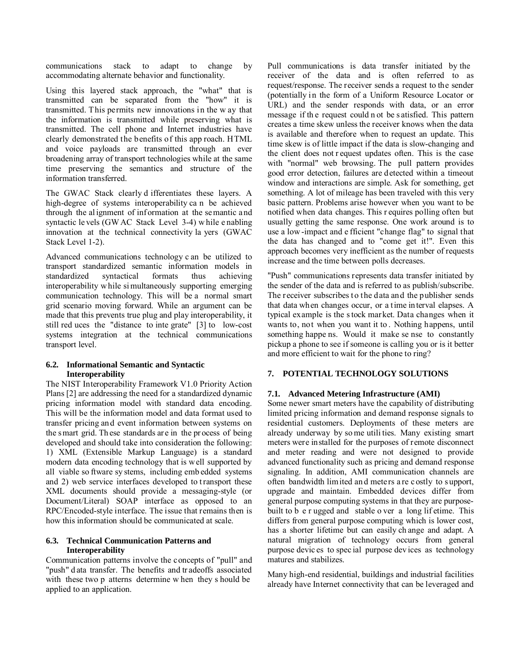communications stack to adapt to change by accommodating alternate behavior and functionality.

Using this layered stack approach, the "what" that is transmitted can be separated from the "how" it is transmitted. This permits new innovations in the w ay that the information is transmitted while preserving what is transmitted. The cell phone and Internet industries have clearly demonstrated the benefits of this app roach. HTML and voice payloads are transmitted through an ever broadening array of transport technologies while at the same time preserving the semantics and structure of the information transferred.

The GWAC Stack clearly d ifferentiates these layers. A high-degree of systems interoperability ca n be achieved through the al ignment of inf ormation at the semantic and syntactic le vels (GW AC Stack Level 3-4) w hile e nabling innovation at the technical connectivity la yers (GWAC Stack Level 1-2).

Advanced communications technology c an be utilized to transport standardized semantic information models in standardized syntactical formats thus achieving interoperability w hile si multaneously supporting emerging communication technology. This will be a normal smart grid scenario moving forward. While an argument can be made that this prevents true plug and play interoperability, it still red uces the "distance to inte grate" [3] to low-cost systems integration at the technical communications transport level.

#### **6.2. Informational Semantic and Syntactic Interoperability**

The NIST Interoperability Framework V1.0 Priority Action Plans [2] are addressing the need for a standardized dynamic pricing information model with standard data encoding. This will be the information model and data format used to transfer pricing an d event information between systems on the smart grid. Th ese standards ar e in the pr ocess of being developed and should take into consideration the following: 1) XML (Extensible Markup Language) is a standard modern data encoding technology that is well supported by all viable so ftware sy stems, including emb edded systems and 2) web service interfaces developed to transport these XML documents should provide a messaging-style (or Document/Literal) SOAP interface as opposed to an RPC/Encoded-style interface. The issue that remains then is how this information should be communicated at scale.

#### **6.3. Technical Communication Patterns and Interoperability**

Communication patterns involve the concepts of "pull" and "push" d ata transfer. The benefits and tr adeoffs associated with these two p atterns determine w hen they s hould be applied to an application.

Pull communications is data transfer initiated by the receiver of the data and is often referred to as request/response. The receiver sends a request to the sender (potentially in the form of a Uniform Resource Locator or URL) and the sender responds with data, or an error message if th e request could n ot be s atisfied. This pattern creates a time skew unless the receiver knows when the data is available and therefore when to request an update. This time skew is of little impact if the data is slow-changing and the client does not r equest updates often. This is the case with "normal" web browsing. The pull pattern provides good error detection, failures are detected within a timeout window and interactions are simple. Ask for something, get something. A lot of mileage has been traveled with this very basic pattern. Problems arise however when you want to be notified when data changes. This r equires polling often but usually getting the same response. One work around is to use a low -impact and e fficient "change flag" to signal that the data has changed and to "come get it!". Even this approach becomes very inefficient as the number of requests increase and the time between polls decreases.

"Push" communications represents data transfer initiated by the sender of the data and is referred to as publish/subscribe. The receiver subscribes to the data and the publisher sends that data when changes occur, or a time interval elapses. A typical example is the s tock market. Data changes when it wants to, not when you want it to . Nothing happens, until something happe ns. Would it make se nse to constantly pickup a phone to see if someone is calling you or is it better and more efficient to wait for the phone to ring?

### **7. POTENTIAL TECHNOLOGY SOLUTIONS**

### **7.1. Advanced Metering Infrastructure (AMI)**

Some newer smart meters have the capability of distributing limited pricing information and demand response signals to residential customers. Deployments of these meters are already underway by so me utili ties. Many existing smart meters were installed for the purposes of remote disconnect and meter reading and were not designed to provide advanced functionality such as pricing and demand response signaling. In addition, AMI communication channels are often bandwidth limited an d meters a re c ostly to s upport, upgrade and maintain. Embedded devices differ from general purpose computing systems in that they are purposebuilt to b e r ugged and stable o ver a long lif etime. This differs from general purpose computing which is lower cost, has a shorter lifetime but can easily ch ange and adapt. A natural migration of technology occurs from general purpose devic es to spec ial purpose dev ices as technology matures and stabilizes.

Many high-end residential, buildings and industrial facilities already have Internet connectivity that can be leveraged and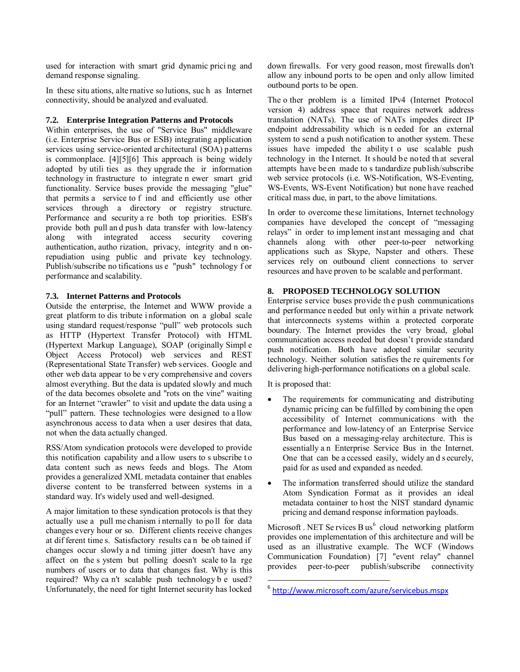used for interaction with smart grid dynamic prici ng and demand response signaling.

In these situ ations, alte rnative so lutions, suc h as Internet connectivity, should be analyzed and evaluated.

#### **7.2. Enterprise Integration Patterns and Protocols**

Within enterprises, the use of "Service Bus" middleware (i.e. Enterprise Service Bus or ESB) integrating application services using service-oriented architectural (SOA) patterns is commonplace. [4][5][6] This approach is being widely adopted by utili ties as they upgrade the ir information technology in frastructure to integrate n ewer smart grid functionality. Service buses provide the messaging "glue" that permits a service to f ind and efficiently use other services through a directory or registry structure. Performance and security a re both top priorities. ESB's provide both pull and push data transfer with low-latency<br>along with integrated access security covering along with integrated access security covering authentication, autho rization, privacy, integrity and n onrepudiation using public and private key technology. Publish/subscribe no tifications us e "push" technology f or performance and scalability.

#### **7.3. Internet Patterns and Protocols**

Outside the enterprise, the Internet and WWW provide a great platform to dis tribute i nformation on a global scale using standard request/response "pull" web protocols such as HTTP (Hypertext Transfer Protocol) with HTML (Hypertext Markup Language), SOAP (originally Simpl e Object Access Protocol) web services and REST (Representational State Transfer) web services. Google and other web data appear to be very comprehensive and covers almost everything. But the data is updated slowly and much of the data becomes obsolete and "rots on the vine" waiting for an Internet "crawler" to visit and update the data using a "pull" pattern. These technologies were designed to a llow asynchronous access to data when a user desires that data, not when the data actually changed.

RSS/Atom syndication protocols were developed to provide this notification capability and allow users to s ubscribe t o data content such as news feeds and blogs. The Atom provides a generalized XML metadata container that enables diverse content to be transferred between systems in a standard way. It's widely used and well-designed.

A major limitation to these syndication protocols is that they actually use a pull me chanism i nternally to po ll for data changes every hour or so. Different clients receive changes at dif ferent time s. Satisfactory results ca n be ob tained if changes occur slowly a nd timing jitter doesn't have any affect on the s ystem but polling doesn't scale to la rge numbers of users or to data that changes fast. Why is this required? Why ca n't scalable push technology b e used? Unfortunately, the need for tight Internet security has locked

down firewalls. For very good reason, most firewalls don't allow any inbound ports to be open and only allow limited outbound ports to be open.

The o ther problem is a limited IPv4 (Internet Protocol version 4) address space that requires network address translation (NATs). The use of NATs impedes direct IP endpoint addressability which is n eeded for an external system to send a push notification to another system. These issues have impeded the ability t o use scalable push technology in the Internet. It should be noted th at several attempts have been made to s tandardize publish/subscribe web service protocols (i.e. WS-Notification, WS-Eventing, WS-Events, WS-Event Notification) but none have reached critical mass due, in part, to the above limitations.

In order to overcome these limitations, Internet technology companies have developed the concept of "messaging relays" in order to imp lement instant messaging and chat channels along with other peer-to-peer networking applications such as Skype, Napster and others. These services rely on outbound client connections to server resources and have proven to be scalable and performant.

### **8. PROPOSED TECHNOLOGY SOLUTION**

Enterprise service buses provide th e push communications and performance needed but only wit hin a private network that interconnects systems within a protected corporate boundary. The Internet provides the very broad, global communication access needed but doesn't provide standard push notification. Both have adopted similar security technology. Neither solution satisfies the re quirements for delivering high-performance notifications on a global scale.

It is proposed that:

 $\overline{a}$ 

- The requirements for communicating and distributing dynamic pricing can be fulfilled by combining the open accessibility of Internet communications with the performance and low-latency of an Enterprise Service Bus based on a messaging-relay architecture. This is essentially a n Enterprise Service Bus in the Internet. One that can be a ccessed easily, widely an d s ecurely, paid for as used and expanded as needed.
- The information transferred should utilize the standard Atom Syndication Format as it provides an ideal metadata container to host the NIST standard dynamic pricing and demand response information payloads.

Microsoft . NET Se rvices  $Bus^6$  cloud networking platform provides one implementation of this architecture and will be used as an illustrative example. The WCF (Windows Communication Foundation) [7] "event relay" channel provides peer-to-peer publish/subscribe connectivity

<sup>6</sup> http://www.microsoft.com/azure/servicebus.mspx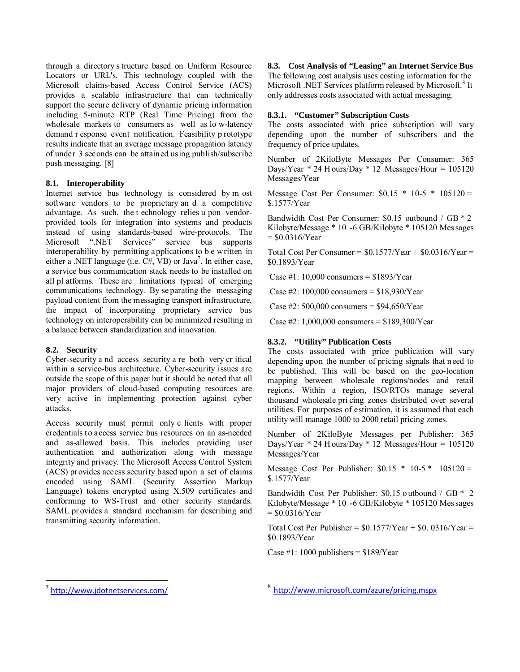through a directory s tructure based on Uniform Resource Locators or URL's. This technology coupled with the Microsoft claims-based Access Control Service (ACS) provides a scalable infrastructure that can technically support the secure delivery of dynamic pricing information including 5-minute RTP (Real Time Pricing) from the wholesale markets to consumers as well as lo w-latency demand r esponse event notification. Feasibility p rototype results indicate that an average message propagation latency of under 3 seconds can be attained using publish/subscribe push messaging. [8]

### **8.1. Interoperability**

Internet service bus technology is considered by m ost software vendors to be proprietary an d a competitive advantage. As such, the t echnology relies u pon vendorprovided tools for integration into systems and products instead of using standards-based wire-protocols. The Microsoft ".NET Services" service bus supports interoperability by permitting applications to b e written in either a .NET language (i.e.  $C#$ , VB) or Java<sup>7</sup>. In either case, a service bus communication stack needs to be installed on all pl atforms. These are limitations typical of emerging communications technology. By se parating the messaging payload content from the messaging transport infrastructure, the impact of incorporating proprietary service bus technology on interoperability can be minimized resulting in a balance between standardization and innovation.

### **8.2. Security**

Cyber-security a nd access security a re both very cr itical within a service-bus architecture. Cyber-security issues are outside the scope of this paper but it should be noted that all major providers of cloud-based computing resources are very active in implementing protection against cyber attacks.

Access security must permit only c lients with proper credentials to access service bus resources on an as-needed and as-allowed basis. This includes providing user authentication and authorization along with message integrity and privacy. The Microsoft Access Control System (ACS) pr ovides access security based upon a set of claims encoded using SAML (Security Assertion Markup Language) tokens encrypted using X.509 certificates and conforming to WS-Trust and other security standards. SAML pr ovides a standard mechanism for describing and transmitting security information.

#### **8.3. Cost Analysis of "Leasing" an Internet Service Bus**  The following cost analysis uses costing information for the Microsoft .NET Services platform released by Microsoft.<sup>8</sup> It

only addresses costs associated with actual messaging.

#### **8.3.1. "Customer" Subscription Costs**

The costs associated with price subscription will vary depending upon the number of subscribers and the frequency of price updates.

Number of 2KiloByte Messages Per Consumer: 365 Days/Year  $* 24$  H ours/Day  $* 12$  Messages/Hour = 105120 Messages/Year

Message Cost Per Consumer:  $$0.15 * 10-5 * 105120 =$ \$.1577/Year

Bandwidth Cost Per Consumer: \$0.15 outbound / GB \* 2 Kilobyte/Message \* 10 -6 GB/Kilobyte \* 105120 Mes sages  $=$  \$0.0316/Year

Total Cost Per Consumer =  $$0.1577/Y$ ear +  $$0.0316/Y$ ear = \$0.1893/Year

Case #1: 10,000 consumers =  $$1893/Year$ 

Case #2: 100,000 consumers =  $$18,930/Year$ 

Case #2:  $500,000$  consumers =  $$94,650/Year$ 

Case #2: 1,000,000 consumers = \$189,300/Year

### **8.3.2. "Utility" Publication Costs**

The costs associated with price publication will vary depending upon the number of pricing signals that need to be published. This will be based on the geo-location mapping between wholesale regions/nodes and retail regions. Within a region, ISO/RTOs manage several thousand wholesale pri cing zones distributed over several utilities. For purposes of estimation, it is assumed that each utility will manage 1000 to 2000 retail pricing zones.

Number of 2KiloByte Messages per Publisher: 365 Days/Year  $* 24$  H ours/Day  $* 12$  Messages/Hour = 105120 Messages/Year

Message Cost Per Publisher:  $$0.15 * 10-5 * 105120 =$ \$.1577/Year

Bandwidth Cost Per Publisher: \$0.15 o utbound / GB \* 2 Kilobyte/Message \* 10 -6 GB/Kilobyte \* 105120 Mes sages  $=$  \$0.0316/Year

Total Cost Per Publisher =  $$0.1577/Y$ ear +  $$0.0316/Y$ ear = \$0.1893/Year

Case #1: 1000 publishers =  $$189/Year$ 

 $\overline{a}$ 

<sup>-</sup>7 http://www.jdotnetservices.com/

<sup>8</sup> http://www.microsoft.com/azure/pricing.mspx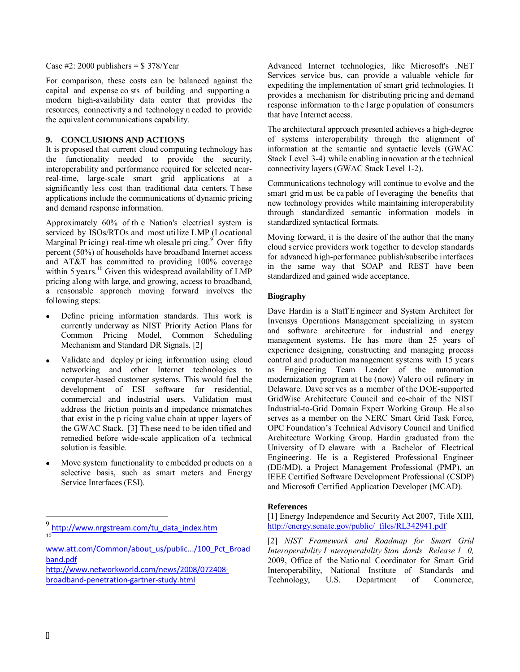For comparison, these costs can be balanced against the capital and expense co sts of building and supporting a modern high-availability data center that provides the resources, connectivity a nd technology n eeded to provide the equivalent communications capability.

### **9. CONCLUSIONS AND ACTIONS**

It is proposed that current cloud computing technology has the functionality needed to provide the security, interoperability and performance required for selected nearreal-time, large-scale smart grid applications at a significantly less cost than traditional data centers. T hese applications include the communications of dynamic pricing and demand response information.

Approximately 60% of th e Nation's electrical system is serviced by ISOs/RTOs and most utilize LMP (Locational Marginal Pr icing) real-time wh olesale pri cing. $9^{\circ}$  Over fifty percent (50%) of households have broadband Internet access and AT&T has committed to providing 100% coverage within 5 years.<sup>10</sup> Given this widespread availability of LMP pricing along with large, and growing, access to broadband, a reasonable approach moving forward involves the following steps:

- Define pricing information standards. This work is currently underway as NIST Priority Action Plans for Common Pricing Model, Common Scheduling Mechanism and Standard DR Signals. [2]
- Case #2: 2000 publishers = \$ 378/Year<br>Case #2: 2000 publishers = \$ 378/Year<br>For comparison, these costs can be 1<br>equidant endependent and expense costs of build<br>imodern high-availability data center<br>resources, connectivit Validate and deploy pr icing information using cloud networking and other Internet technologies to computer-based customer systems. This would fuel the development of ESI software for residential, commercial and industrial users. Validation must address the friction points an d impedance mismatches that exist in the p ricing value chain at upper layers of the GWAC Stack. [3] These need to be iden tified and remedied before wide-scale application of a technical solution is feasible.
- Move system functionality to embedded products on a selective basis, such as smart meters and Energy Service Interfaces (ESI).

Advanced Internet technologies, like Microsoft's .NET Services service bus, can provide a valuable vehicle for expediting the implementation of smart grid technologies. It provides a mechanism for distributing pricing and demand response information to th e l arge p opulation of consumers that have Internet access.

The architectural approach presented achieves a high-degree of systems interoperability through the alignment of information at the semantic and syntactic levels (GWAC Stack Level 3-4) while enabling innovation at the technical connectivity layers (GWAC Stack Level 1-2).

Communications technology will continue to evolve and the smart grid m ust be ca pable of l everaging the benefits that new technology provides while maintaining interoperability through standardized semantic information models in standardized syntactical formats.

Moving forward, it is the desire of the author that the many cloud service providers work together to develop standards for advanced high-performance publish/subscribe interfaces in the same way that SOAP and REST have been standardized and gained wide acceptance.

#### **Biography**

Dave Hardin is a Staff E ngineer and System Architect for Invensys Operations Management specializing in system and software architecture for industrial and energy management systems. He has more than 25 years of experience designing, constructing and managing process control and production management systems with 15 years as Engineering Team Leader of the automation modernization program at t he (now) Valero oil refinery in Delaware. Dave serves as a member of the DOE-supported GridWise Architecture Council and co-chair of the NIST Industrial-to-Grid Domain Expert Working Group. He also serves as a member on the NERC Smart Grid Task Force, OPC Foundation's Technical Advisory Council and Unified Architecture Working Group. Hardin graduated from the University of D elaware with a Bachelor of Electrical Engineering. He is a Registered Professional Engineer (DE/MD), a Project Management Professional (PMP), an IEEE Certified Software Development Professional (CSDP) and Microsoft Certified Application Developer (MCAD).

#### **References**

[1] Energy Independence and Security Act 2007, Title XIII, http://energy.senate.gov/public/\_files/RL342941.pdf

[2] *NIST Framework and Roadmap for Smart Grid Interoperability I nteroperability Stan dards Release 1 .0,* 2009, Office of the Natio nal Coordinator for Smart Grid Interoperability, National Institute of Standards and Technology, U.S. Department of Commerce,

<u>.</u>

<sup>9</sup> http://www.nrgstream.com/tu\_data\_index.htm 10

www.att.com/Common/about\_us/public.../100\_Pct\_Broad band.pdf

http://www.networkworld.com/news/2008/072408 broadband-penetration-gartner-study.html